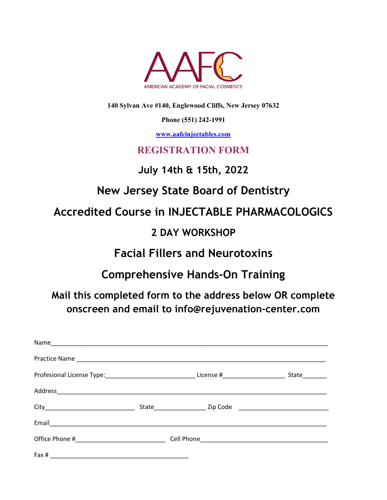

**140 Sylvan Ave #140, Englewood Cliffs, New Jersey 07632**

**Phone (551) 242-1991**

**www.aafcinjectables.com**

#### **REGISTRATION FORM**

### **July 14th & 15th, 2022**

# **New Jersey State Board of Dentistry**

**Accredited Course in INJECTABLE PHARMACOLOGICS**

## **2 DAY WORKSHOP**

# **Facial Fillers and Neurotoxins**

## **Comprehensive Hands-On Training**

## **Mail this completed form to the address below OR complete onscreen and email to info@rejuvenation-center.com**

|  | Profesional License Type: _________________________________License #___________________ | State_______ |
|--|-----------------------------------------------------------------------------------------|--------------|
|  |                                                                                         |              |
|  |                                                                                         |              |
|  |                                                                                         |              |
|  |                                                                                         |              |
|  |                                                                                         |              |